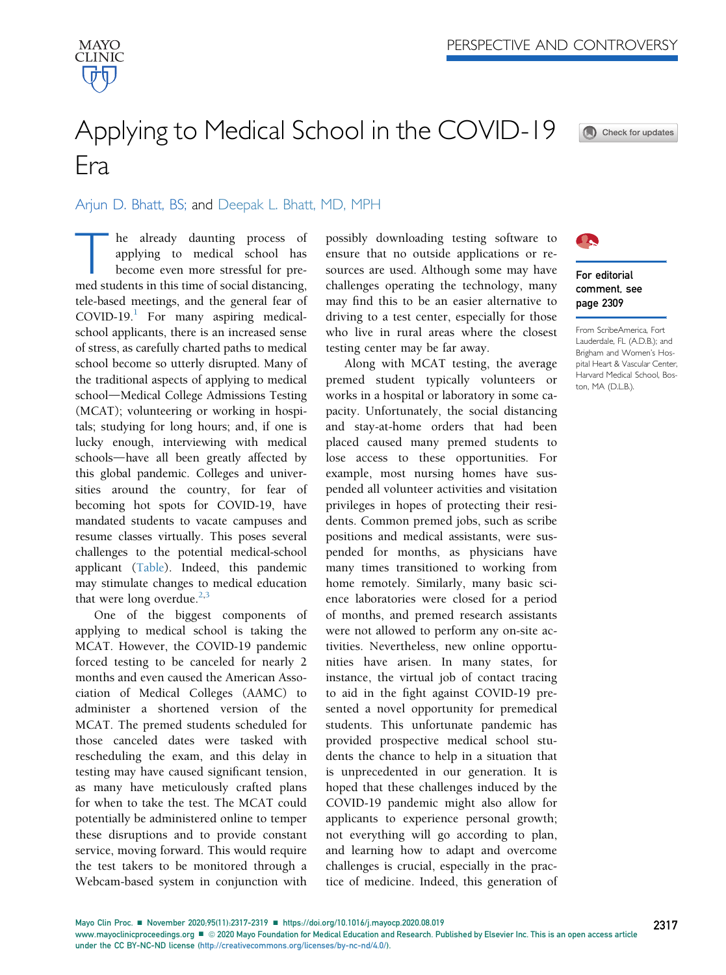

# Applying to Medical School in the COVID-19 Era

## Arjun D. Bhatt, BS; and Deepak L. Bhatt, MD, MPH

he already daunting process of applying to medical school has become even more stressful for premed students in this time of social distancing, tele-based meetings, and the general fear of  $COVID-19<sup>1</sup>$  $COVID-19<sup>1</sup>$  $COVID-19<sup>1</sup>$  For many aspiring medicalschool applicants, there is an increased sense of stress, as carefully charted paths to medical school become so utterly disrupted. Many of the traditional aspects of applying to medical school-Medical College Admissions Testing (MCAT); volunteering or working in hospitals; studying for long hours; and, if one is lucky enough, interviewing with medical schools—have all been greatly affected by this global pandemic. Colleges and universities around the country, for fear of becoming hot spots for COVID-19, have mandated students to vacate campuses and resume classes virtually. This poses several challenges to the potential medical-school applicant [\(Table](#page-1-0)). Indeed, this pandemic may stimulate changes to medical education that were long overdue. $2,3$  $2,3$ 

One of the biggest components of applying to medical school is taking the MCAT. However, the COVID-19 pandemic forced testing to be canceled for nearly 2 months and even caused the American Association of Medical Colleges (AAMC) to administer a shortened version of the MCAT. The premed students scheduled for those canceled dates were tasked with rescheduling the exam, and this delay in testing may have caused significant tension, as many have meticulously crafted plans for when to take the test. The MCAT could potentially be administered online to temper these disruptions and to provide constant service, moving forward. This would require the test takers to be monitored through a Webcam-based system in conjunction with

possibly downloading testing software to ensure that no outside applications or resources are used. Although some may have challenges operating the technology, many may find this to be an easier alternative to driving to a test center, especially for those who live in rural areas where the closest testing center may be far away.

Along with MCAT testing, the average premed student typically volunteers or works in a hospital or laboratory in some capacity. Unfortunately, the social distancing and stay-at-home orders that had been placed caused many premed students to lose access to these opportunities. For example, most nursing homes have suspended all volunteer activities and visitation privileges in hopes of protecting their residents. Common premed jobs, such as scribe positions and medical assistants, were suspended for months, as physicians have many times transitioned to working from home remotely. Similarly, many basic science laboratories were closed for a period of months, and premed research assistants were not allowed to perform any on-site activities. Nevertheless, new online opportunities have arisen. In many states, for instance, the virtual job of contact tracing to aid in the fight against COVID-19 presented a novel opportunity for premedical students. This unfortunate pandemic has provided prospective medical school students the chance to help in a situation that is unprecedented in our generation. It is hoped that these challenges induced by the COVID-19 pandemic might also allow for applicants to experience personal growth; not everything will go according to plan, and learning how to adapt and overcome challenges is crucial, especially in the practice of medicine. Indeed, this generation of



### For editorial comment, see page 2309

From ScribeAmerica, Fort Lauderdale, FL (A.D.B.); and Brigham and Women's Hospital Heart & Vascular Center, Harvard Medical School, Boston, MA (D.L.B.).

Check for updates

[www.mayoclinicproceedings.org](http://www.mayoclinicproceedings.org)  $\blacksquare$  2020 Mayo Foundation for Medical Education and Research. Published by Elsevier Inc. This is an open access article under the CC BY-NC-ND license ([http://creativecommons.org/licenses/by-nc-nd/4.0/\)](http://creativecommons.org/licenses/by-nc-nd/4.0/).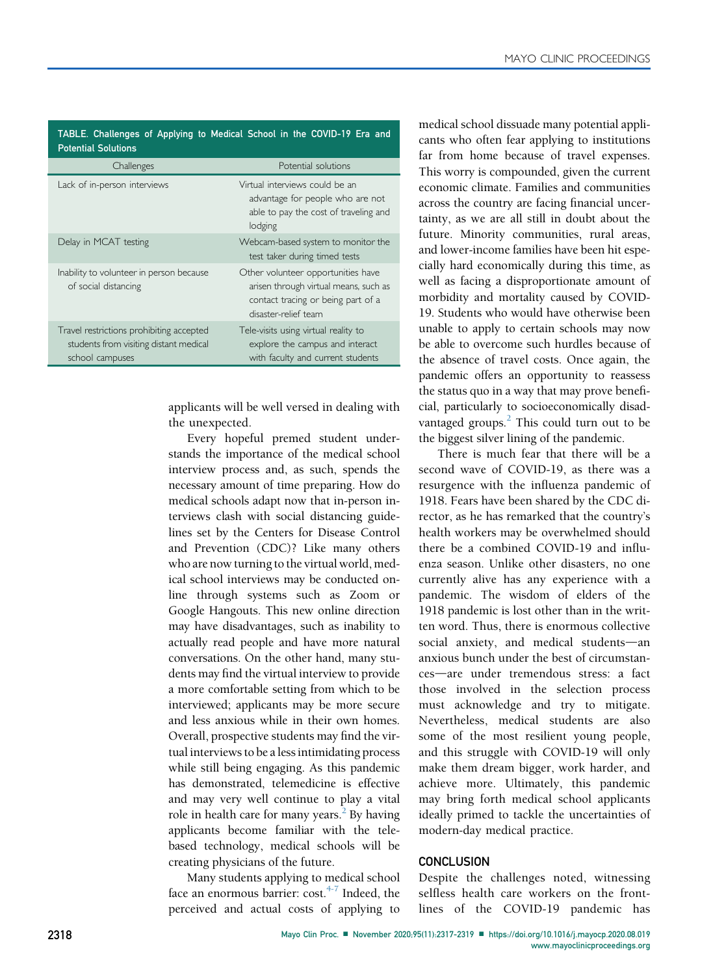| Potential Solutions                                                                                   |                                                                                                                                           |
|-------------------------------------------------------------------------------------------------------|-------------------------------------------------------------------------------------------------------------------------------------------|
| Challenges                                                                                            | Potential solutions                                                                                                                       |
| Lack of in-person interviews                                                                          | Virtual interviews could be an<br>advantage for people who are not<br>able to pay the cost of traveling and<br>lodging                    |
| Delay in MCAT testing                                                                                 | Webcam-based system to monitor the<br>test taker during timed tests                                                                       |
| Inability to volunteer in person because<br>of social distancing                                      | Other volunteer opportunities have<br>arisen through virtual means, such as<br>contact tracing or being part of a<br>disaster-relief team |
| Travel restrictions prohibiting accepted<br>students from visiting distant medical<br>school campuses | Tele-visits using virtual reality to<br>explore the campus and interact<br>with faculty and current students                              |

<span id="page-1-0"></span>TABLE. Challenges of Applying to Medical School in the COVID-19 Era and Potential Solutions

> applicants will be well versed in dealing with the unexpected.

Every hopeful premed student understands the importance of the medical school interview process and, as such, spends the necessary amount of time preparing. How do medical schools adapt now that in-person interviews clash with social distancing guidelines set by the Centers for Disease Control and Prevention (CDC)? Like many others who are now turning to the virtual world, medical school interviews may be conducted online through systems such as Zoom or Google Hangouts. This new online direction may have disadvantages, such as inability to actually read people and have more natural conversations. On the other hand, many students may find the virtual interview to provide a more comfortable setting from which to be interviewed; applicants may be more secure and less anxious while in their own homes. Overall, prospective students may find the virtual interviews to be a less intimidating process while still being engaging. As this pandemic has demonstrated, telemedicine is effective and may very well continue to play a vital role in health care for many years.<sup>2</sup> By having applicants become familiar with the telebased technology, medical schools will be creating physicians of the future.

Many students applying to medical school face an enormous barrier:  $cost.<sup>4-7</sup>$  Indeed, the perceived and actual costs of applying to medical school dissuade many potential applicants who often fear applying to institutions far from home because of travel expenses. This worry is compounded, given the current economic climate. Families and communities across the country are facing financial uncertainty, as we are all still in doubt about the future. Minority communities, rural areas, and lower-income families have been hit especially hard economically during this time, as well as facing a disproportionate amount of morbidity and mortality caused by COVID-19. Students who would have otherwise been unable to apply to certain schools may now be able to overcome such hurdles because of the absence of travel costs. Once again, the pandemic offers an opportunity to reassess the status quo in a way that may prove beneficial, particularly to socioeconomically disadvantaged groups. $<sup>2</sup>$  This could turn out to be</sup> the biggest silver lining of the pandemic.

There is much fear that there will be a second wave of COVID-19, as there was a resurgence with the influenza pandemic of 1918. Fears have been shared by the CDC director, as he has remarked that the country's health workers may be overwhelmed should there be a combined COVID-19 and influenza season. Unlike other disasters, no one currently alive has any experience with a pandemic. The wisdom of elders of the 1918 pandemic is lost other than in the written word. Thus, there is enormous collective social anxiety, and medical students-an anxious bunch under the best of circumstances-are under tremendous stress: a fact those involved in the selection process must acknowledge and try to mitigate. Nevertheless, medical students are also some of the most resilient young people, and this struggle with COVID-19 will only make them dream bigger, work harder, and achieve more. Ultimately, this pandemic may bring forth medical school applicants ideally primed to tackle the uncertainties of modern-day medical practice.

## **CONCLUSION**

Despite the challenges noted, witnessing selfless health care workers on the frontlines of the COVID-19 pandemic has